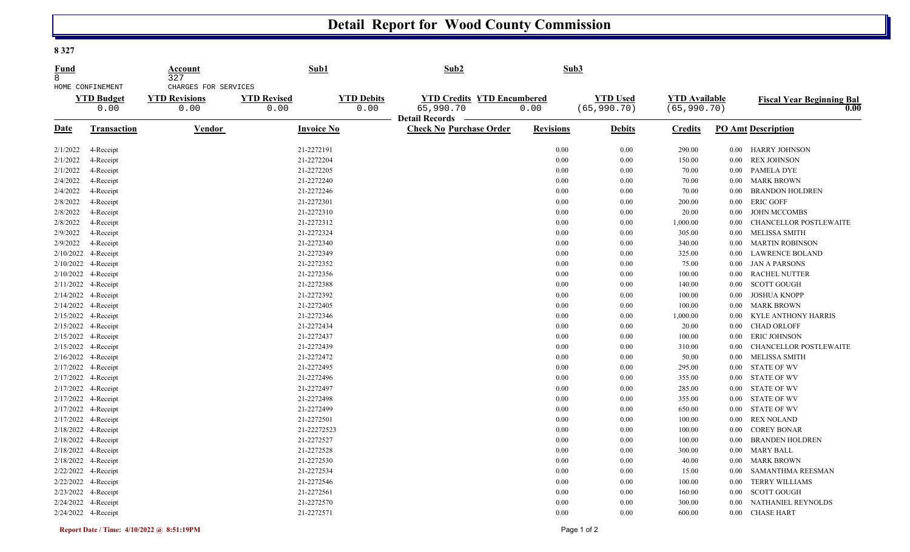## **Detail Report for Wood County Commission**

**8 327** 

| <b>Fund</b><br>8 |                                               | Account<br>327<br>CHARGES FOR SERVICES | Sub1                       |                           | Sub2                                                    | Sub3             |                                 |                                      |          |                                          |
|------------------|-----------------------------------------------|----------------------------------------|----------------------------|---------------------------|---------------------------------------------------------|------------------|---------------------------------|--------------------------------------|----------|------------------------------------------|
|                  | HOME CONFINEMENT<br><b>YTD Budget</b><br>0.00 | <b>YTD Revisions</b><br>0.00           | <b>YTD Revised</b><br>0.00 | <b>YTD Debits</b><br>0.00 | <b>YTD Credits YTD Encumbered</b><br>65,990.70          | 0.00             | <b>YTD Used</b><br>(65, 990.70) | <b>YTD</b> Available<br>(65, 990.70) |          | <b>Fiscal Year Beginning Bal</b><br>0.00 |
| Date             | <b>Transaction</b>                            | Vendor                                 | <b>Invoice No</b>          |                           | <b>Detail Records</b><br><b>Check No Purchase Order</b> | <b>Revisions</b> | <b>Debits</b>                   | <b>Credits</b>                       |          | <b>PO Amt Description</b>                |
| 2/1/2022         | 4-Receipt                                     |                                        | 21-2272191                 |                           |                                                         | 0.00             | 0.00                            | 290.00                               | $0.00\,$ | <b>HARRY JOHNSON</b>                     |
| 2/1/2022         | 4-Receipt                                     |                                        | 21-2272204                 |                           |                                                         | 0.00             | 0.00                            | 150.00                               | $0.00\,$ | <b>REX JOHNSON</b>                       |
| 2/1/2022         | 4-Receipt                                     |                                        | 21-2272205                 |                           |                                                         | 0.00             | 0.00                            | 70.00                                | $0.00\,$ | PAMELA DYE                               |
| 2/4/2022         | 4-Receipt                                     |                                        | 21-2272240                 |                           |                                                         | 0.00             | 0.00                            | 70.00                                | $0.00\,$ | <b>MARK BROWN</b>                        |
| 2/4/2022         | 4-Receipt                                     |                                        | 21-2272246                 |                           |                                                         | 0.00             | 0.00                            | 70.00                                | 0.00     | <b>BRANDON HOLDREN</b>                   |
| 2/8/2022         | 4-Receipt                                     |                                        | 21-2272301                 |                           |                                                         | 0.00             | 0.00                            | 200.00                               | $0.00\,$ | <b>ERIC GOFF</b>                         |
| 2/8/2022         | 4-Receipt                                     |                                        | 21-2272310                 |                           |                                                         | 0.00             | 0.00                            | 20.00                                | $0.00\,$ | <b>JOHN MCCOMBS</b>                      |
| 2/8/2022         | 4-Receipt                                     |                                        | 21-2272312                 |                           |                                                         | 0.00             | 0.00                            | 1,000.00                             | $0.00\,$ | CHANCELLOR POSTLEWAITE                   |
| 2/9/2022         | 4-Receipt                                     |                                        | 21-2272324                 |                           |                                                         | 0.00             | 0.00                            | 305.00                               | $0.00\,$ | <b>MELISSA SMITH</b>                     |
| 2/9/2022         | 4-Receipt                                     |                                        | 21-2272340                 |                           |                                                         | 0.00             | 0.00                            | 340.00                               | $0.00\,$ | <b>MARTIN ROBINSON</b>                   |
| 2/10/2022        | 4-Receipt                                     |                                        | 21-2272349                 |                           |                                                         | 0.00             | 0.00                            | 325.00                               | $0.00\,$ | <b>LAWRENCE BOLAND</b>                   |
|                  | 2/10/2022 4-Receipt                           |                                        | 21-2272352                 |                           |                                                         | 0.00             | 0.00                            | 75.00                                | $0.00\,$ | <b>JAN A PARSONS</b>                     |
|                  | 2/10/2022 4-Receipt                           |                                        | 21-2272356                 |                           |                                                         | 0.00             | 0.00                            | 100.00                               | $0.00\,$ | <b>RACHEL NUTTER</b>                     |
|                  | 2/11/2022 4-Receipt                           |                                        | 21-2272388                 |                           |                                                         | 0.00             | 0.00                            | 140.00                               | 0.00     | <b>SCOTT GOUGH</b>                       |
|                  | 2/14/2022 4-Receipt                           |                                        | 21-2272392                 |                           |                                                         | 0.00             | 0.00                            | 100.00                               | $0.00\,$ | <b>JOSHUA KNOPP</b>                      |
|                  | 2/14/2022 4-Receipt                           |                                        | 21-2272405                 |                           |                                                         | 0.00             | 0.00                            | 100.00                               | $0.00\,$ | <b>MARK BROWN</b>                        |
|                  | 2/15/2022 4-Receipt                           |                                        | 21-2272346                 |                           |                                                         | 0.00             | 0.00                            | 1,000.00                             | 0.00     | <b>KYLE ANTHONY HARRIS</b>               |
|                  | 2/15/2022 4-Receipt                           |                                        | 21-2272434                 |                           |                                                         | 0.00             | 0.00                            | 20.00                                | $0.00\,$ | <b>CHAD ORLOFF</b>                       |
|                  | 2/15/2022 4-Receipt                           |                                        | 21-2272437                 |                           |                                                         | 0.00             | 0.00                            | 100.00                               | $0.00\,$ | <b>ERIC JOHNSON</b>                      |
|                  | 2/15/2022 4-Receipt                           |                                        | 21-2272439                 |                           |                                                         | 0.00             | 0.00                            | 310.00                               | $0.00\,$ | CHANCELLOR POSTLEWAITE                   |
|                  | 2/16/2022 4-Receipt                           |                                        | 21-2272472                 |                           |                                                         | 0.00             | 0.00                            | 50.00                                | 0.00     | <b>MELISSA SMITH</b>                     |
|                  | 2/17/2022 4-Receipt                           |                                        | 21-2272495                 |                           |                                                         | 0.00             | 0.00                            | 295.00                               | $0.00\,$ | <b>STATE OF WV</b>                       |
|                  | 2/17/2022 4-Receipt                           |                                        | 21-2272496                 |                           |                                                         | 0.00             | 0.00                            | 355.00                               | $0.00\,$ | <b>STATE OF WV</b>                       |
|                  | 2/17/2022 4-Receipt                           |                                        | 21-2272497                 |                           |                                                         | 0.00             | 0.00                            | 285.00                               | $0.00\,$ | <b>STATE OF WV</b>                       |
|                  | 2/17/2022 4-Receipt                           |                                        | 21-2272498                 |                           |                                                         | 0.00             | 0.00                            | 355.00                               | $0.00\,$ | <b>STATE OF WV</b>                       |
|                  | 2/17/2022 4-Receipt                           |                                        | 21-2272499                 |                           |                                                         | 0.00             | 0.00                            | 650.00                               | $0.00\,$ | <b>STATE OF WV</b>                       |
|                  | 2/17/2022 4-Receipt                           |                                        | 21-2272501                 |                           |                                                         | 0.00             | 0.00                            | 100.00                               | $0.00\,$ | <b>REX NOLAND</b>                        |
|                  | 2/18/2022 4-Receipt                           |                                        | 21-22272523                |                           |                                                         | 0.00             | 0.00                            | 100.00                               | 0.00     | <b>COREY BONAR</b>                       |
|                  | 2/18/2022 4-Receipt                           |                                        | 21-2272527                 |                           |                                                         | 0.00             | 0.00                            | 100.00                               | $0.00\,$ | <b>BRANDEN HOLDREN</b>                   |
|                  | 2/18/2022 4-Receipt                           |                                        | 21-2272528                 |                           |                                                         | 0.00             | 0.00                            | 300.00                               | $0.00\,$ | <b>MARY BALL</b>                         |
|                  | 2/18/2022 4-Receipt                           |                                        | 21-2272530                 |                           |                                                         | 0.00             | 0.00                            | 40.00                                | $0.00\,$ | <b>MARK BROWN</b>                        |
|                  | 2/22/2022 4-Receipt                           |                                        | 21-2272534                 |                           |                                                         | 0.00             | 0.00                            | 15.00                                | $0.00\,$ | SAMANTHMA REESMAN                        |
|                  | 2/22/2022 4-Receipt                           |                                        | 21-2272546                 |                           |                                                         | 0.00             | 0.00                            | 100.00                               | $0.00\,$ | <b>TERRY WILLIAMS</b>                    |
|                  | 2/23/2022 4-Receipt                           |                                        | 21-2272561                 |                           |                                                         | 0.00             | 0.00                            | 160.00                               | 0.00     | <b>SCOTT GOUGH</b>                       |
|                  | 2/24/2022 4-Receipt                           |                                        | 21-2272570                 |                           |                                                         | 0.00             | 0.00                            | 300.00                               | 0.00     | NATHANIEL REYNOLDS                       |
|                  | 2/24/2022 4-Receipt                           |                                        | 21-2272571                 |                           |                                                         | 0.00             | 0.00                            | 600.00                               | $0.00\,$ | <b>CHASE HART</b>                        |